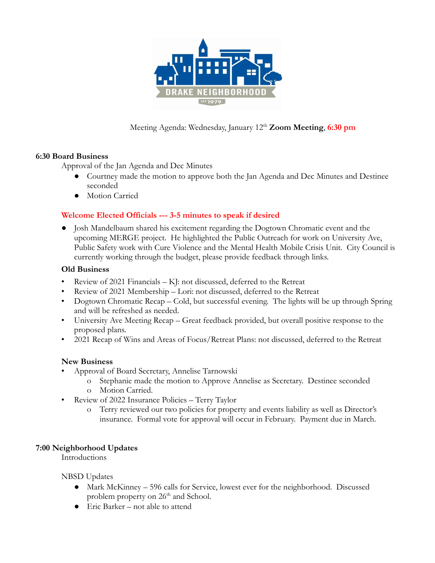

Meeting Agenda: Wednesday, January 12<sup>th</sup> **Zoom Meeting**, **6:30 pm** 

# **6:30 Board Business**

Approval of the Jan Agenda and Dec Minutes

- Courtney made the motion to approve both the Jan Agenda and Dec Minutes and Destinee seconded
- Motion Carried

# **Welcome Elected Officials --- 3-5 minutes to speak if desired**

**●** Josh Mandelbaum shared his excitement regarding the Dogtown Chromatic event and the upcoming MERGE project. He highlighted the Public Outreach for work on University Ave, Public Safety work with Cure Violence and the Mental Health Mobile Crisis Unit. City Council is currently working through the budget, please provide feedback through links.

## **Old Business**

- Review of 2021 Financials KJ: not discussed, deferred to the Retreat
- Review of 2021 Membership Lori: not discussed, deferred to the Retreat
- Dogtown Chromatic Recap Cold, but successful evening. The lights will be up through Spring and will be refreshed as needed.
- University Ave Meeting Recap Great feedback provided, but overall positive response to the proposed plans.
- 2021 Recap of Wins and Areas of Focus/Retreat Plans: not discussed, deferred to the Retreat

# **New Business**

- Approval of Board Secretary, Annelise Tarnowski
	- o Stephanie made the motion to Approve Annelise as Secretary. Destinee seconded
	- o Motion Carried.
- Review of 2022 Insurance Policies Terry Taylor
	- o Terry reviewed our two policies for property and events liability as well as Director's insurance. Formal vote for approval will occur in February. Payment due in March.

## **7:00 Neighborhood Updates**

Introductions

NBSD Updates

- Mark McKinney 596 calls for Service, lowest ever for the neighborhood. Discussed problem property on  $26<sup>th</sup>$  and School.
- $\bullet$  Eric Barker not able to attend